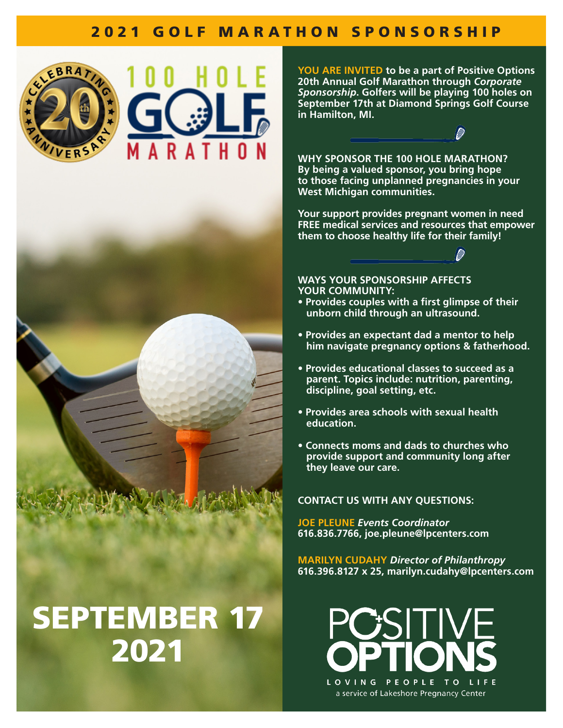## 2021 GOLF MARATHON SPONSORSHIP







# SEPTEMBER 17 2021

**YOU ARE INVITED to be a part of Positive Options 20th Annual Golf Marathon through** *Corporate Sponsorship***. Golfers will be playing 100 holes on September 17th at Diamond Springs Golf Course in Hamilton, MI.** 

**WHY SPONSOR THE 100 HOLE MARATHON? By being a valued sponsor, you bring hope to those facing unplanned pregnancies in your West Michigan communities.** 

**Your support provides pregnant women in need FREE medical services and resources that empower them to choose healthy life for their family!**



**WAYS YOUR SPONSORSHIP AFFECTS YOUR COMMUNITY:**

- **Provides couples with a first glimpse of their unborn child through an ultrasound.**
- **Provides an expectant dad a mentor to help him navigate pregnancy options & fatherhood.**
- **Provides educational classes to succeed as a parent. Topics include: nutrition, parenting, discipline, goal setting, etc.**
- **Provides area schools with sexual health education.**
- **Connects moms and dads to churches who provide support and community long after they leave our care.**

**CONTACT US WITH ANY QUESTIONS:**

**JOE PLEUNE** *Events Coordinator* **616.836.7766, joe.pleune@lpcenters.com**

**MARILYN CUDAHY** *Director of Philanthropy* **616.396.8127 x 25, marilyn.cudahy@lpcenters.com**